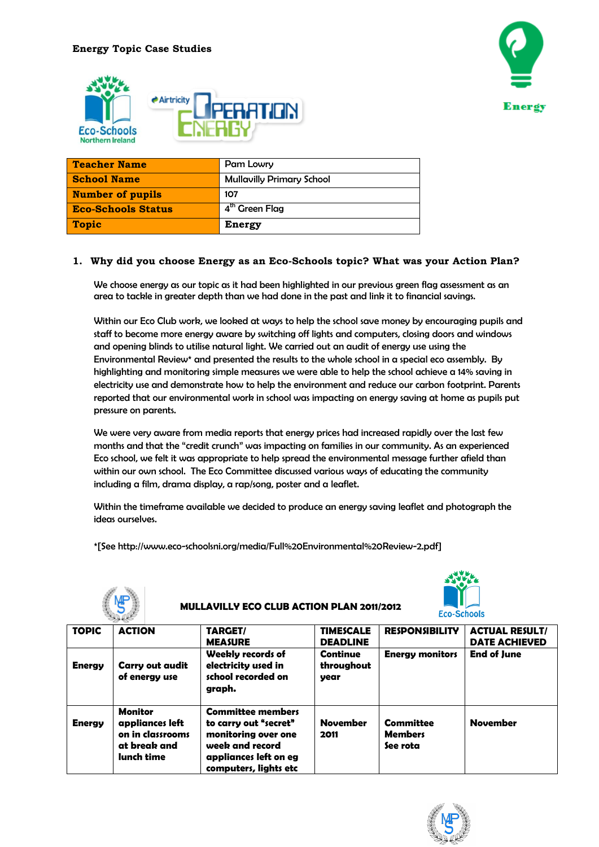



| <b>Teacher Name</b>       | Pam Lowry                        |
|---------------------------|----------------------------------|
| <b>School Name</b>        | <b>Mullavilly Primary School</b> |
| <b>Number of pupils</b>   | 107                              |
| <b>Eco-Schools Status</b> | 4 <sup>th</sup> Green Flag       |
| <b>Topic</b>              | <b>Energy</b>                    |

### **1. Why did you choose Energy as an Eco-Schools topic? What was your Action Plan?**

We choose energy as our topic as it had been highlighted in our previous green flag assessment as an area to tackle in greater depth than we had done in the past and link it to financial savings.

Within our Eco Club work, we looked at ways to help the school save money by encouraging pupils and staff to become more energy aware by switching off lights and computers, closing doors and windows and opening blinds to utilise natural light. We carried out an audit of energy use using the Environmental Review\* and presented the results to the whole school in a special eco assembly. By highlighting and monitoring simple measures we were able to help the school achieve a 14% saving in electricity use and demonstrate how to help the environment and reduce our carbon footprint. Parents reported that our environmental work in school was impacting on energy saving at home as pupils put pressure on parents.

We were very aware from media reports that energy prices had increased rapidly over the last few months and that the "credit crunch" was impacting on families in our community. As an experienced Eco school, we felt it was appropriate to help spread the environmental message further afield than within our own school. The Eco Committee discussed various ways of educating the community including a film, drama display, a rap/song, poster and a leaflet.

Within the timeframe available we decided to produce an energy saving leaflet and photograph the ideas ourselves.

**MULLAVILLY ECO CLUB ACTION PLAN 2011/2012**

\*[See http://www.eco-schoolsni.org/media/Full%20Environmental%20Review-2.pdf]



| <b>TOPIC</b>  | <b>ACTION</b>                                                                | TARGET/<br><b>MEASURE</b>                                                                                                                     | <b>TIMESCALE</b><br><b>DEADLINE</b>   | <b>RESPONSIBILITY</b>                          | <b>ACTUAL RESULT/</b><br><b>DATE ACHIEVED</b> |  |
|---------------|------------------------------------------------------------------------------|-----------------------------------------------------------------------------------------------------------------------------------------------|---------------------------------------|------------------------------------------------|-----------------------------------------------|--|
| <b>Energy</b> | Carry out audit<br>of energy use                                             | Weekly records of<br>electricity used in<br>school recorded on<br>graph.                                                                      | <b>Continue</b><br>throughout<br>year | <b>Energy monitors</b>                         | <b>End of June</b>                            |  |
| <b>Energy</b> | Monitor<br>appliances left<br>on in classrooms<br>at break and<br>lunch time | <b>Committee members</b><br>to carry out "secret"<br>monitoring over one<br>week and record<br>appliances left on eg<br>computers, lights etc | <b>November</b><br>2011               | <b>Committee</b><br><b>Members</b><br>See rota | <b>November</b>                               |  |

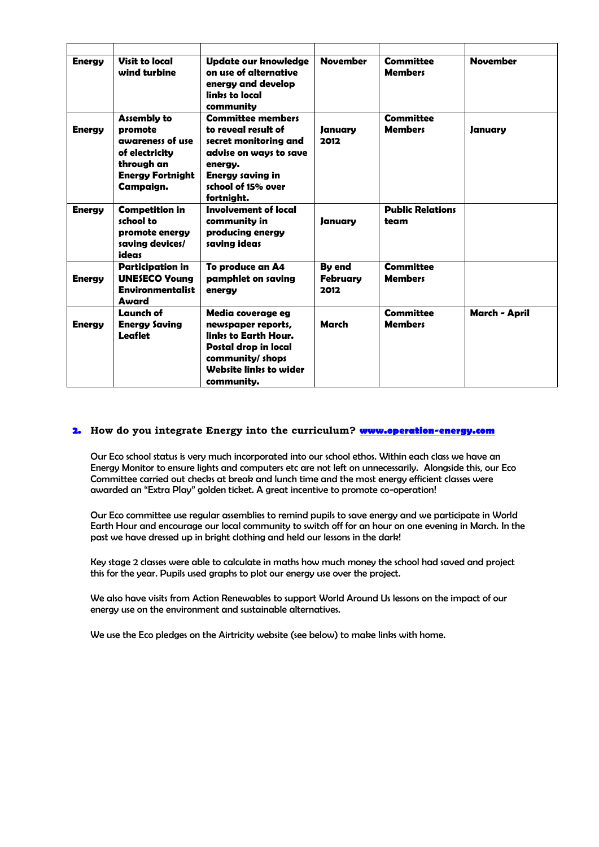| <b>Energy</b> | Visit to local<br>wind turbine                                                                                            | <b>Update our knowledge</b><br>on use of alternative<br>energy and develop<br>linbs to local<br>community                                                             | <b>November</b>                               | <b>Committee</b><br><b>Members</b> | <b>November</b> |
|---------------|---------------------------------------------------------------------------------------------------------------------------|-----------------------------------------------------------------------------------------------------------------------------------------------------------------------|-----------------------------------------------|------------------------------------|-----------------|
| <b>Energy</b> | <b>Assembly to</b><br>promote<br>awareness of use<br>of electricity<br>through an<br><b>Energy Fortnight</b><br>Campaign. | <b>Committee members</b><br>to reveal result of<br>secret monitoring and<br>advise on ways to save<br>energy.<br>Energy saving in<br>school of 15% over<br>fortnight. | January<br>2012                               | <b>Committee</b><br><b>Members</b> | January         |
| <b>Energy</b> | <b>Competition in</b><br>school to<br>promote energy<br>saving devices/<br>ideas                                          | Involvement of local<br>community in<br>producing energy<br>saving ideas                                                                                              | Januarv                                       | <b>Public Relations</b><br>team    |                 |
| <b>Energy</b> | <b>Participation in</b><br><b>UNESECO Young</b><br><b>Environmentalist</b><br>Award                                       | To produce an A4<br>pamphlet on saving<br>energy                                                                                                                      | <b>B</b> <sub>v</sub> end<br>Februarv<br>2012 | <b>Committee</b><br><b>Members</b> |                 |
| <b>Energy</b> | Launch of<br><b>Energy Saving</b><br>Leaflet                                                                              | Media coverage eg<br>newspaper reports,<br>links to Earth Hour.<br>Postal drop in local<br>community/ shops<br>Website links to wider<br>community.                   | March                                         | <b>Committee</b><br><b>Members</b> | March - April   |

### **2. How do you integrate Energy into the curriculum? [www.operation-energy.com](http://www.operation-energy.com/)**

Our Eco school status is very much incorporated into our school ethos. Within each class we have an Energy Monitor to ensure lights and computers etc are not left on unnecessarily. Alongside this, our Eco Committee carried out checks at break and lunch time and the most energy efficient classes were awarded an "Extra Play" golden ticket. A great incentive to promote co-operation!

Our Eco committee use regular assemblies to remind pupils to save energy and we participate in World Earth Hour and encourage our local community to switch off for an hour on one evening in March. In the past we have dressed up in bright clothing and held our lessons in the dark!

Key stage 2 classes were able to calculate in maths how much money the school had saved and project this for the year. Pupils used graphs to plot our energy use over the project.

We also have visits from Action Renewables to support World Around Us lessons on the impact of our energy use on the environment and sustainable alternatives.

We use the Eco pledges on the Airtricity website (see below) to make links with home.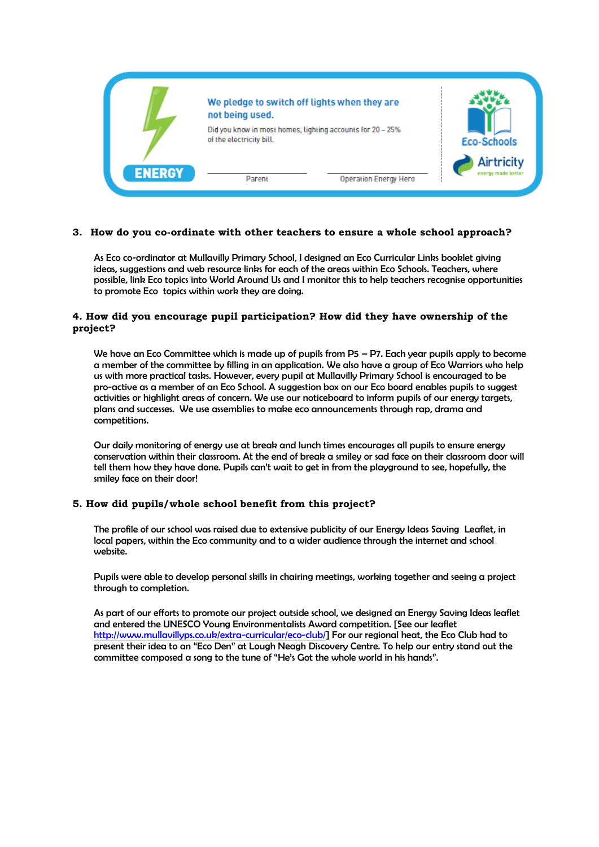

### **3. How do you co-ordinate with other teachers to ensure a whole school approach?**

As Eco co-ordinator at Mullavilly Primary School, I designed an Eco Curricular Links booklet giving ideas, suggestions and web resource links for each of the areas within Eco Schools. Teachers, where possible, link Eco topics into World Around Us and I monitor this to help teachers recognise opportunities to promote Eco topics within work they are doing.

### **4. How did you encourage pupil participation? How did they have ownership of the project?**

We have an Eco Committee which is made up of pupils from P5 - P7. Each year pupils apply to become a member of the committee by filling in an application. We also have a group of Eco Warriors who help us with more practical tasks. However, every pupil at Mullavilly Primary School is encouraged to be pro-active as a member of an Eco School. A suggestion box on our Eco board enables pupils to suggest activities or highlight areas of concern. We use our noticeboard to inform pupils of our energy targets, plans and successes. We use assemblies to make eco announcements through rap, drama and competitions.

Our daily monitoring of energy use at break and lunch times encourages all pupils to ensure energy conservation within their classroom. At the end of break a smiley or sad face on their classroom door will tell them how they have done. Pupils can't wait to get in from the playground to see, hopefully, the smiley face on their door!

### **5. How did pupils/whole school benefit from this project?**

The profile of our school was raised due to extensive publicity of our Energy Ideas Saving Leaflet, in local papers, within the Eco community and to a wider audience through the internet and school website.

Pupils were able to develop personal skills in chairing meetings, working together and seeing a project through to completion.

As part of our efforts to promote our project outside school, we designed an Energy Saving Ideas leaflet and entered the UNESCO Young Environmentalists Award competition. [See our leaflet [http://www.mullavillyps.co.uk/extra-curricular/eco-club/\]](http://www.mullavillyps.co.uk/extra-curricular/eco-club/) For our regional heat, the Eco Club had to present their idea to an "Eco Den" at Lough Neagh Discovery Centre. To help our entry stand out the committee composed a song to the tune of "He's Got the whole world in his hands".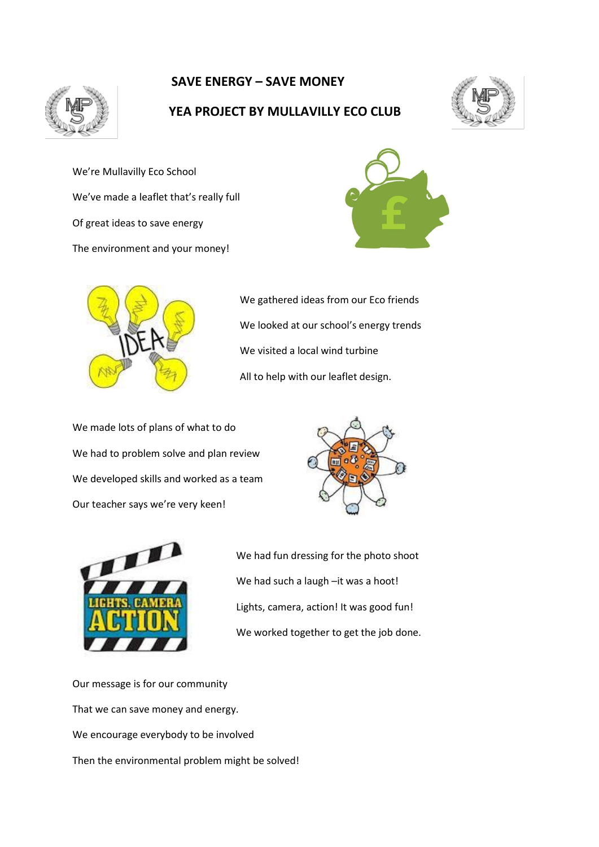

# **SAVE ENERGY – SAVE MONEY**

## **YEA PROJECT BY MULLAVILLY ECO CLUB**



We're Mullavilly Eco School We've made a leaflet that's really full Of great ideas to save energy The environment and your money!





We gathered ideas from our Eco friends We looked at our school's energy trends We visited a local wind turbine All to help with our leaflet design.

We made lots of plans of what to do We had to problem solve and plan review We developed skills and worked as a team Our teacher says we're very keen!





We had fun dressing for the photo shoot We had such a laugh -it was a hoot! Lights, camera, action! It was good fun! We worked together to get the job done.

Our message is for our community That we can save money and energy. We encourage everybody to be involved Then the environmental problem might be solved!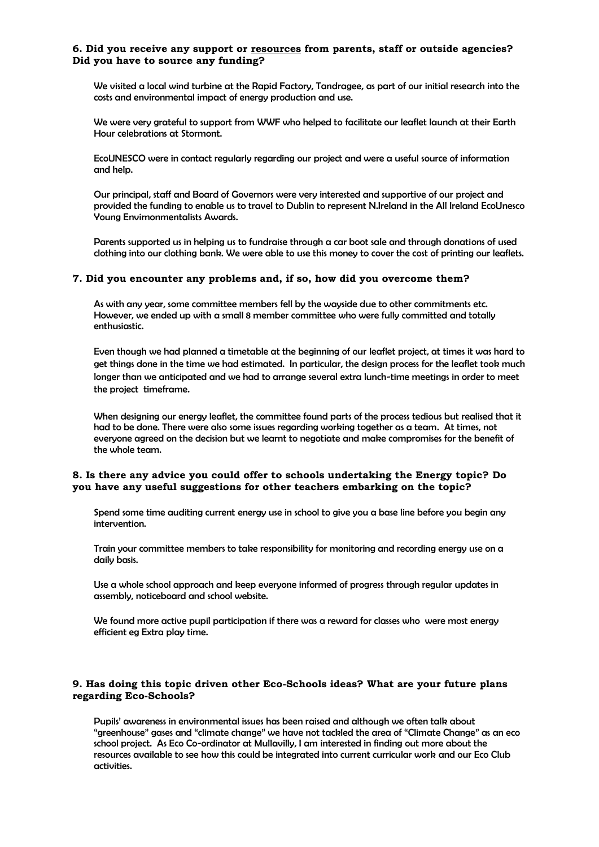### **6. Did you receive any support or resources from parents, staff or outside agencies? Did you have to source any funding?**

We visited a local wind turbine at the Rapid Factory, Tandragee, as part of our initial research into the costs and environmental impact of energy production and use.

We were very grateful to support from WWF who helped to facilitate our leaflet launch at their Earth Hour celebrations at Stormont.

EcoUNESCO were in contact regularly regarding our project and were a useful source of information and help.

Our principal, staff and Board of Governors were very interested and supportive of our project and provided the funding to enable us to travel to Dublin to represent N.Ireland in the All Ireland EcoUnesco Young Envirnonmentalists Awards.

Parents supported us in helping us to fundraise through a car boot sale and through donations of used clothing into our clothing bank. We were able to use this money to cover the cost of printing our leaflets.

### **7. Did you encounter any problems and, if so, how did you overcome them?**

As with any year, some committee members fell by the wayside due to other commitments etc. However, we ended up with a small 8 member committee who were fully committed and totally enthusiastic.

Even though we had planned a timetable at the beginning of our leaflet project, at times it was hard to get things done in the time we had estimated. In particular, the design process for the leaflet took much longer than we anticipated and we had to arrange several extra lunch-time meetings in order to meet the project timeframe.

When designing our energy leaflet, the committee found parts of the process tedious but realised that it had to be done. There were also some issues regarding working together as a team. At times, not everyone agreed on the decision but we learnt to negotiate and make compromises for the benefit of the whole team.

### **8. Is there any advice you could offer to schools undertaking the Energy topic? Do you have any useful suggestions for other teachers embarking on the topic?**

Spend some time auditing current energy use in school to give you a base line before you begin any intervention.

Train your committee members to take responsibility for monitoring and recording energy use on a daily basis.

Use a whole school approach and keep everyone informed of progress through regular updates in assembly, noticeboard and school website.

We found more active pupil participation if there was a reward for classes who were most energy efficient eg Extra play time.

### **9. Has doing this topic driven other Eco-Schools ideas? What are your future plans regarding Eco-Schools?**

Pupils' awareness in environmental issues has been raised and although we often talk about "greenhouse" gases and "climate change" we have not tackled the area of "Climate Change" as an eco school project. As Eco Co-ordinator at Mullavilly, I am interested in finding out more about the resources available to see how this could be integrated into current curricular work and our Eco Club activities.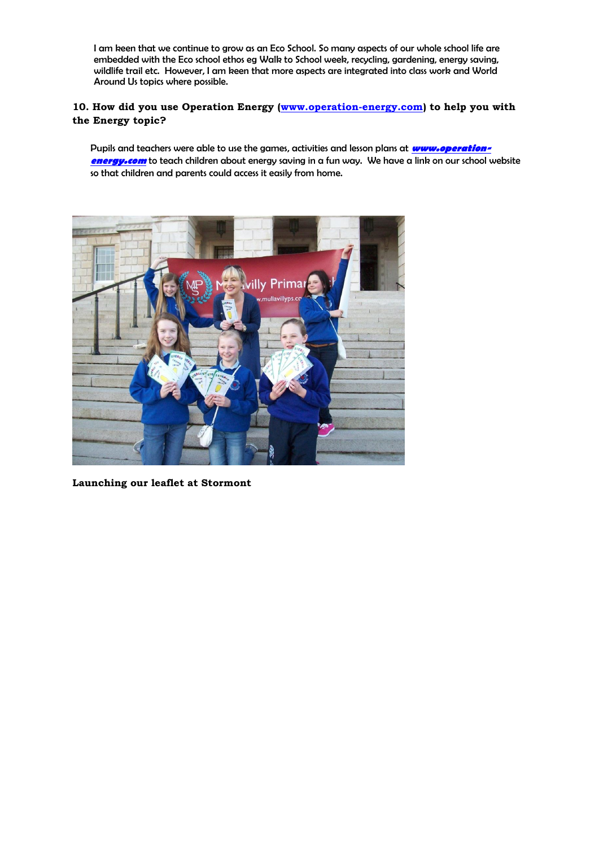I am keen that we continue to grow as an Eco School. So many aspects of our whole school life are embedded with the Eco school ethos eg Walk to School week, recycling, gardening, energy saving, wildlife trail etc. However, I am keen that more aspects are integrated into class work and World Around Us topics where possible.

## **10. How did you use Operation Energy [\(www.operation-energy.com\)](http://www.operation-energy.com/) to help you with the Energy topic?**

Pupils and teachers were able to use the games, activities and lesson plans at **[www.operation](http://www.operation-energy.com/)[energy.com](http://www.operation-energy.com/)** to teach children about energy saving in a fun way. We have a link on our school website so that children and parents could access it easily from home.



**Launching our leaflet at Stormont**